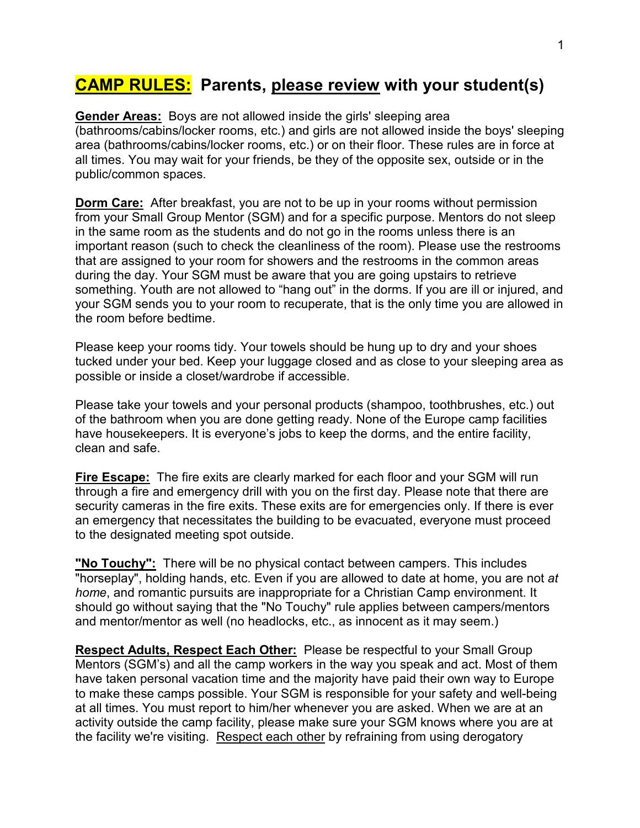## **CAMP RULES: Parents, please review with your student(s)**

**Gender Areas:** Boys are not allowed inside the girls' sleeping area (bathrooms/cabins/locker rooms, etc.) and girls are not allowed inside the boys' sleeping area (bathrooms/cabins/locker rooms, etc.) or on their floor. These rules are in force at all times. You may wait for your friends, be they of the opposite sex, outside or in the public/common spaces.

**Dorm Care:** After breakfast, you are not to be up in your rooms without permission from your Small Group Mentor (SGM) and for a specific purpose. Mentors do not sleep in the same room as the students and do not go in the rooms unless there is an important reason (such to check the cleanliness of the room). Please use the restrooms that are assigned to your room for showers and the restrooms in the common areas during the day. Your SGM must be aware that you are going upstairs to retrieve something. Youth are not allowed to "hang out" in the dorms. If you are ill or injured, and your SGM sends you to your room to recuperate, that is the only time you are allowed in the room before bedtime.

Please keep your rooms tidy. Your towels should be hung up to dry and your shoes tucked under your bed. Keep your luggage closed and as close to your sleeping area as possible or inside a closet/wardrobe if accessible.

Please take your towels and your personal products (shampoo, toothbrushes, etc.) out of the bathroom when you are done getting ready. None of the Europe camp facilities have housekeepers. It is everyone's jobs to keep the dorms, and the entire facility, clean and safe.

**Fire Escape:** The fire exits are clearly marked for each floor and your SGM will run through a fire and emergency drill with you on the first day. Please note that there are security cameras in the fire exits. These exits are for emergencies only. If there is ever an emergency that necessitates the building to be evacuated, everyone must proceed to the designated meeting spot outside.

**"No Touchy":** There will be no physical contact between campers. This includes "horseplay", holding hands, etc. Even if you are allowed to date at home, you are not *at home*, and romantic pursuits are inappropriate for a Christian Camp environment. It should go without saying that the "No Touchy" rule applies between campers/mentors and mentor/mentor as well (no headlocks, etc., as innocent as it may seem.)

**Respect Adults, Respect Each Other:** Please be respectful to your Small Group Mentors (SGM's) and all the camp workers in the way you speak and act. Most of them have taken personal vacation time and the majority have paid their own way to Europe to make these camps possible. Your SGM is responsible for your safety and well-being at all times. You must report to him/her whenever you are asked. When we are at an activity outside the camp facility, please make sure your SGM knows where you are at the facility we're visiting. Respect each other by refraining from using derogatory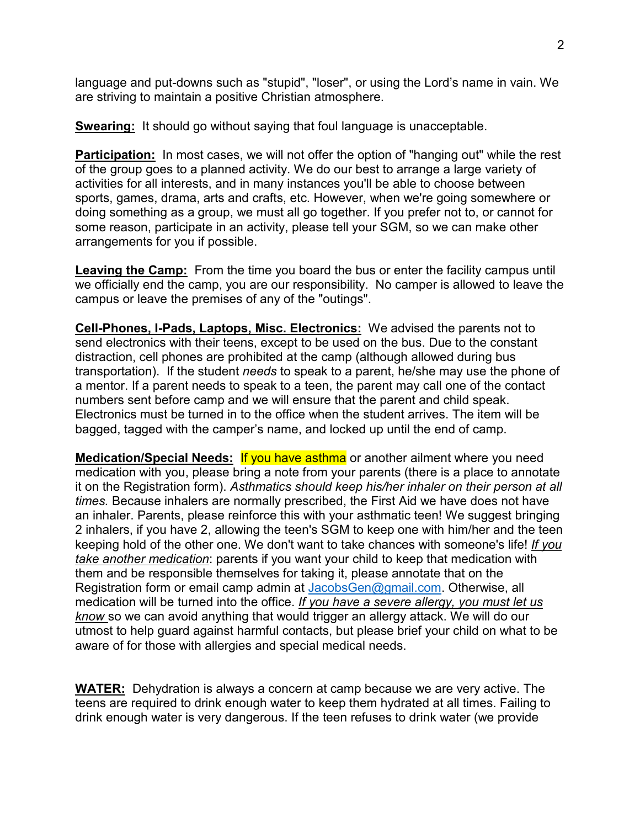language and put-downs such as "stupid", "loser", or using the Lord's name in vain. We are striving to maintain a positive Christian atmosphere.

**Swearing:** It should go without saying that foul language is unacceptable.

**Participation:** In most cases, we will not offer the option of "hanging out" while the rest of the group goes to a planned activity. We do our best to arrange a large variety of activities for all interests, and in many instances you'll be able to choose between sports, games, drama, arts and crafts, etc. However, when we're going somewhere or doing something as a group, we must all go together. If you prefer not to, or cannot for some reason, participate in an activity, please tell your SGM, so we can make other arrangements for you if possible.

**Leaving the Camp:** From the time you board the bus or enter the facility campus until we officially end the camp, you are our responsibility. No camper is allowed to leave the campus or leave the premises of any of the "outings".

**Cell-Phones, I-Pads, Laptops, Misc. Electronics:** We advised the parents not to send electronics with their teens, except to be used on the bus. Due to the constant distraction, cell phones are prohibited at the camp (although allowed during bus transportation). If the student *needs* to speak to a parent, he/she may use the phone of a mentor. If a parent needs to speak to a teen, the parent may call one of the contact numbers sent before camp and we will ensure that the parent and child speak. Electronics must be turned in to the office when the student arrives. The item will be bagged, tagged with the camper's name, and locked up until the end of camp.

**Medication/Special Needs: If you have asthma** or another ailment where you need medication with you, please bring a note from your parents (there is a place to annotate it on the Registration form). *Asthmatics should keep his/her inhaler on their person at all times.* Because inhalers are normally prescribed, the First Aid we have does not have an inhaler. Parents, please reinforce this with your asthmatic teen! We suggest bringing 2 inhalers, if you have 2, allowing the teen's SGM to keep one with him/her and the teen keeping hold of the other one. We don't want to take chances with someone's life! *If you take another medication*: parents if you want your child to keep that medication with them and be responsible themselves for taking it, please annotate that on the Registration form or email camp admin at [JacobsGen@gmail.com.](mailto:JacobsGen@gmail.com) Otherwise, all medication will be turned into the office. *If you have a severe allergy, you must let us know* so we can avoid anything that would trigger an allergy attack. We will do our utmost to help guard against harmful contacts, but please brief your child on what to be aware of for those with allergies and special medical needs.

**WATER:** Dehydration is always a concern at camp because we are very active. The teens are required to drink enough water to keep them hydrated at all times. Failing to drink enough water is very dangerous. If the teen refuses to drink water (we provide